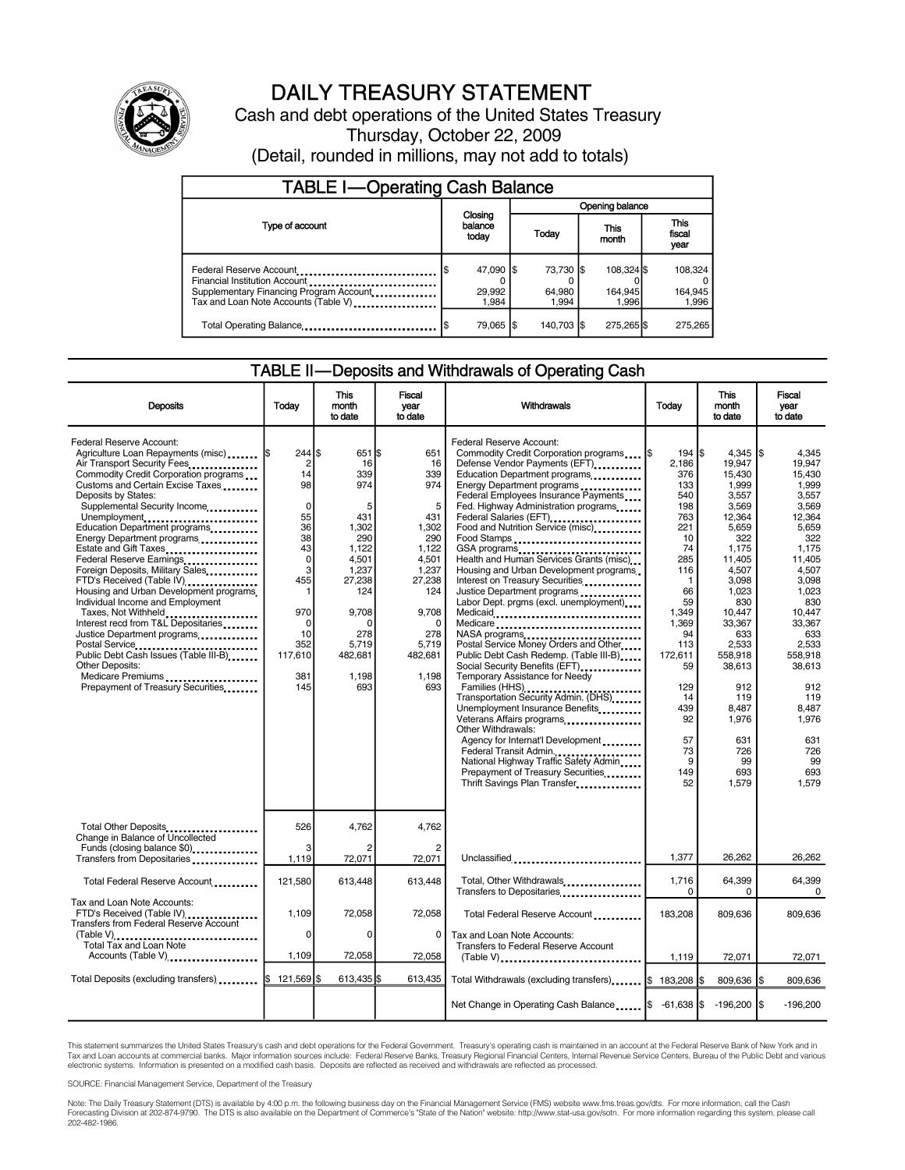

### DAILY TREASURY STATEMENT

Cash and debt operations of the United States Treasury Thursday, October 22, 2009 (Detail, rounded in millions, may not add to totals)

| <b>TABLE I-Operating Cash Balance</b>                                                                                                       |  |                              |                 |                              |  |                                |  |                               |
|---------------------------------------------------------------------------------------------------------------------------------------------|--|------------------------------|-----------------|------------------------------|--|--------------------------------|--|-------------------------------|
|                                                                                                                                             |  |                              | Opening balance |                              |  |                                |  |                               |
| Type of account                                                                                                                             |  | Closing<br>balance<br>today  |                 | Today                        |  | This<br>month                  |  | <b>This</b><br>fiscal<br>year |
| Federal Reserve Account<br>Financial Institution Account<br>Supplementary Financing Program Account<br>Tax and Loan Note Accounts (Table V) |  | 47.090 \$<br>29,992<br>1.984 |                 | 73.730 \$<br>64.980<br>1.994 |  | 108,324 \$<br>164,945<br>1.996 |  | 108,324<br>164,945<br>1,996   |
| Total Operating Balance                                                                                                                     |  | 79.065 S                     |                 | 140.703 S                    |  | 275,265 \$                     |  | 275,265                       |

### TABLE II—Deposits and Withdrawals of Operating Cash

| <b>Deposits</b>                                                                                                                                                                                                                                                                                                                                                                                                                                                                                                                                                                                                                                                                                                                                                       | Todav                                                                                                                                                                 | This<br>month<br>to date                                                                                                                                   | <b>Fiscal</b><br>vear<br>to date                                                                                                                                | <b>Withdrawals</b>                                                                                                                                                                                                                                                                                                                                                                                                                                                                                                                                                                                                                                                                                                                                                                                                                                                                                                                                                                                                                                          | Todav                                                                                                                                                                                                                     | This<br>month<br>to date                                                                                                                                                                                                                                             | Fiscal<br>vear<br>to date                                                                                                                                                                                                                                        |
|-----------------------------------------------------------------------------------------------------------------------------------------------------------------------------------------------------------------------------------------------------------------------------------------------------------------------------------------------------------------------------------------------------------------------------------------------------------------------------------------------------------------------------------------------------------------------------------------------------------------------------------------------------------------------------------------------------------------------------------------------------------------------|-----------------------------------------------------------------------------------------------------------------------------------------------------------------------|------------------------------------------------------------------------------------------------------------------------------------------------------------|-----------------------------------------------------------------------------------------------------------------------------------------------------------------|-------------------------------------------------------------------------------------------------------------------------------------------------------------------------------------------------------------------------------------------------------------------------------------------------------------------------------------------------------------------------------------------------------------------------------------------------------------------------------------------------------------------------------------------------------------------------------------------------------------------------------------------------------------------------------------------------------------------------------------------------------------------------------------------------------------------------------------------------------------------------------------------------------------------------------------------------------------------------------------------------------------------------------------------------------------|---------------------------------------------------------------------------------------------------------------------------------------------------------------------------------------------------------------------------|----------------------------------------------------------------------------------------------------------------------------------------------------------------------------------------------------------------------------------------------------------------------|------------------------------------------------------------------------------------------------------------------------------------------------------------------------------------------------------------------------------------------------------------------|
| Federal Reserve Account:<br>Agriculture Loan Repayments (misc)<br>Air Transport Security Fees<br>Commodity Credit Corporation programs<br>Customs and Certain Excise Taxes<br>Deposits by States:<br>Supplemental Security Income<br>Unemployment<br>Education Department programs<br>Energy Department programs<br>Estate and Gift Taxes<br>Federal Reserve Earnings<br>Foreign Deposits, Military Sales<br>FTD's Received (Table IV)<br>Housing and Urban Development programs.<br>Individual Income and Employment<br>Taxes, Not Withheld<br>Interest recd from T&L Depositaries<br>Justice Department programs<br><br>Postal Service<br>Public Debt Cash Issues (Table III-B)<br><b>Other Deposits:</b><br>Medicare Premiums<br>Prepayment of Treasury Securities | 244S<br>$\overline{2}$<br>14<br>98<br>$\mathbf 0$<br>55<br>36<br>38<br>43<br>$\mathbf 0$<br>3<br>455<br>1<br>970<br>$\mathbf 0$<br>10<br>352<br>117,610<br>381<br>145 | 651 S<br>16<br>339<br>974<br>5<br>431<br>1,302<br>290<br>1,122<br>4,501<br>1,237<br>27,238<br>124<br>9,708<br>n<br>278<br>5,719<br>482,681<br>1.198<br>693 | 651<br>16<br>339<br>974<br>5<br>431<br>1,302<br>290<br>1.122<br>4,501<br>1,237<br>27,238<br>124<br>9,708<br>$\Omega$<br>278<br>5,719<br>482,681<br>1.198<br>693 | Federal Reserve Account:<br>Commodity Credit Corporation programs<br>Defense Vendor Payments (EFT)<br>Education Department programs<br>Energy Department programs<br>Federal Employees Insurance Payments<br>Fed. Highway Administration programs<br>Federal Salaries (EFT)<br>Food and Nutrition Service (misc)<br>Food Stamps<br>GSA programs<br>Health and Human Services Grants (misc)<br>Housing and Urban Development programs<br>Interest on Treasury Securities<br>Justice Department programs<br>Labor Dept. prgms (excl. unemployment)<br>Medicaid<br>Medicare<br>Postal Service Money Orders and Other<br>Public Debt Cash Redemp. (Table III-B)<br>Social Security Benefits (EFT)<br>Temporary Assistance for Needy<br>Families (HHS)<br>Transportation Security Admin. (DHS)<br>Unemployment Insurance Benefits<br>Veterans Affairs programs<br>Other Withdrawals:<br>Agency for Internat'l Development<br>Federal Transit Admin<br>National Highway Traffic Safety Admin<br>Prepayment of Treasury Securities<br>Thrift Savings Plan Transfer | 194   \$<br>2.186<br>376<br>133<br>540<br>198<br>763<br>221<br>10<br>74<br>285<br>116<br>$\mathbf{1}$<br>66<br>59<br>1,349<br>1,369<br>94<br>113<br>172,611<br>59<br>129<br>14<br>439<br>92<br>57<br>73<br>9<br>149<br>52 | $4.345$ S<br>19.947<br>15,430<br>1,999<br>3.557<br>3.569<br>12,364<br>5,659<br>322<br>1.175<br>11,405<br>4,507<br>3,098<br>1.023<br>830<br>10,447<br>33,367<br>633<br>2,533<br>558,918<br>38,613<br>912<br>119<br>8,487<br>1,976<br>631<br>726<br>99<br>693<br>1,579 | 4.345<br>19.947<br>15,430<br>1.999<br>3.557<br>3.569<br>12,364<br>5,659<br>322<br>1.175<br>11,405<br>4,507<br>3,098<br>1.023<br>830<br>10,447<br>33.367<br>633<br>2,533<br>558,918<br>38,613<br>912<br>119<br>8.487<br>1.976<br>631<br>726<br>99<br>693<br>1,579 |
| Total Other Deposits<br>Change in Balance of Uncollected<br>Funds (closing balance \$0)                                                                                                                                                                                                                                                                                                                                                                                                                                                                                                                                                                                                                                                                               | 526<br>3                                                                                                                                                              | 4,762                                                                                                                                                      | 4,762<br>$\overline{2}$                                                                                                                                         |                                                                                                                                                                                                                                                                                                                                                                                                                                                                                                                                                                                                                                                                                                                                                                                                                                                                                                                                                                                                                                                             |                                                                                                                                                                                                                           |                                                                                                                                                                                                                                                                      |                                                                                                                                                                                                                                                                  |
| Transfers from Depositaries                                                                                                                                                                                                                                                                                                                                                                                                                                                                                                                                                                                                                                                                                                                                           | 1.119                                                                                                                                                                 | 72.071                                                                                                                                                     | 72.071                                                                                                                                                          | Unclassified                                                                                                                                                                                                                                                                                                                                                                                                                                                                                                                                                                                                                                                                                                                                                                                                                                                                                                                                                                                                                                                | 1,377                                                                                                                                                                                                                     | 26,262                                                                                                                                                                                                                                                               | 26,262                                                                                                                                                                                                                                                           |
| Total Federal Reserve Account                                                                                                                                                                                                                                                                                                                                                                                                                                                                                                                                                                                                                                                                                                                                         | 121,580                                                                                                                                                               | 613,448                                                                                                                                                    | 613,448                                                                                                                                                         | Total, Other Withdrawals<br>Transfers to Depositaries                                                                                                                                                                                                                                                                                                                                                                                                                                                                                                                                                                                                                                                                                                                                                                                                                                                                                                                                                                                                       | 1,716<br>$\Omega$                                                                                                                                                                                                         | 64,399<br>0                                                                                                                                                                                                                                                          | 64,399<br>$\Omega$                                                                                                                                                                                                                                               |
| Tax and Loan Note Accounts:<br>FTD's Received (Table IV)<br><b>Transfers from Federal Reserve Account</b>                                                                                                                                                                                                                                                                                                                                                                                                                                                                                                                                                                                                                                                             | 1,109                                                                                                                                                                 | 72,058                                                                                                                                                     | 72,058                                                                                                                                                          | Total Federal Reserve Account                                                                                                                                                                                                                                                                                                                                                                                                                                                                                                                                                                                                                                                                                                                                                                                                                                                                                                                                                                                                                               | 183,208                                                                                                                                                                                                                   | 809,636                                                                                                                                                                                                                                                              | 809,636                                                                                                                                                                                                                                                          |
| Total Tax and Loan Note<br>Accounts (Table V)                                                                                                                                                                                                                                                                                                                                                                                                                                                                                                                                                                                                                                                                                                                         | $\mathbf 0$<br>1,109                                                                                                                                                  | $\Omega$<br>72,058                                                                                                                                         | 0<br>72,058                                                                                                                                                     | Tax and Loan Note Accounts:<br><b>Transfers to Federal Reserve Account</b><br>$(Table V)$                                                                                                                                                                                                                                                                                                                                                                                                                                                                                                                                                                                                                                                                                                                                                                                                                                                                                                                                                                   | 1,119                                                                                                                                                                                                                     | 72,071                                                                                                                                                                                                                                                               | 72,071                                                                                                                                                                                                                                                           |
| Total Deposits (excluding transfers)   \$                                                                                                                                                                                                                                                                                                                                                                                                                                                                                                                                                                                                                                                                                                                             | 121,569 \$                                                                                                                                                            | 613,435                                                                                                                                                    | 613,435                                                                                                                                                         | Total Withdrawals (excluding transfers) \$ 183,208 \$                                                                                                                                                                                                                                                                                                                                                                                                                                                                                                                                                                                                                                                                                                                                                                                                                                                                                                                                                                                                       |                                                                                                                                                                                                                           | 809,636 \$                                                                                                                                                                                                                                                           | 809,636                                                                                                                                                                                                                                                          |
|                                                                                                                                                                                                                                                                                                                                                                                                                                                                                                                                                                                                                                                                                                                                                                       |                                                                                                                                                                       |                                                                                                                                                            |                                                                                                                                                                 | Net Change in Operating Cash Balance   \$ -61,638  \$                                                                                                                                                                                                                                                                                                                                                                                                                                                                                                                                                                                                                                                                                                                                                                                                                                                                                                                                                                                                       |                                                                                                                                                                                                                           | $-196,200$ $\sqrt{\$}$                                                                                                                                                                                                                                               | $-196,200$                                                                                                                                                                                                                                                       |

This statement summarizes the United States Treasury's cash and debt operations for the Federal Government. Treasury's operating cash is maintained in an account at the Federal Reserve Bank of New York and in<br>Tax and Loan

SOURCE: Financial Management Service, Department of the Treasury

Note: The Daily Treasury Statement (DTS) is available by 4:00 p.m. the following business day on the Financial Management Service (FMS) website www.fms.treas.gov/dts. For more information, call the Cash<br>Forecasting Divisio 202-482-1986.